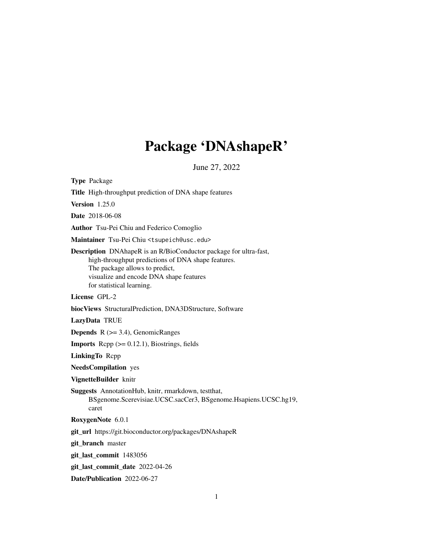# Package 'DNAshapeR'

June 27, 2022

Type Package

Title High-throughput prediction of DNA shape features

Version 1.25.0

Date 2018-06-08

Author Tsu-Pei Chiu and Federico Comoglio

Maintainer Tsu-Pei Chiu <tsupeich@usc.edu>

Description DNAhapeR is an R/BioConductor package for ultra-fast, high-throughput predictions of DNA shape features. The package allows to predict, visualize and encode DNA shape features for statistical learning.

# License GPL-2

biocViews StructuralPrediction, DNA3DStructure, Software

LazyData TRUE

**Depends**  $R$  ( $>= 3.4$ ), GenomicRanges

**Imports** Rcpp  $(>= 0.12.1)$ , Biostrings, fields

LinkingTo Rcpp

NeedsCompilation yes

VignetteBuilder knitr

Suggests AnnotationHub, knitr, rmarkdown, testthat,

BSgenome.Scerevisiae.UCSC.sacCer3, BSgenome.Hsapiens.UCSC.hg19, caret

RoxygenNote 6.0.1

git\_url https://git.bioconductor.org/packages/DNAshapeR

git\_branch master

git\_last\_commit 1483056

git\_last\_commit\_date 2022-04-26

Date/Publication 2022-06-27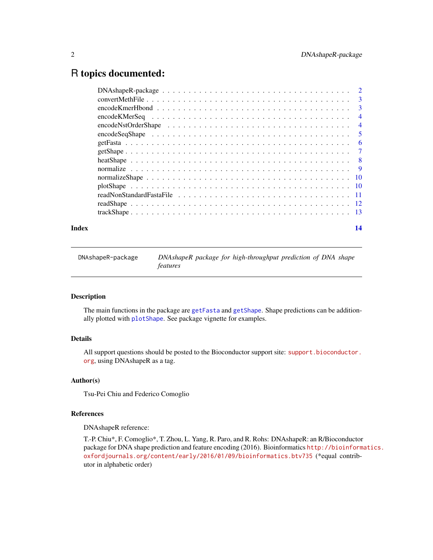# <span id="page-1-0"></span>R topics documented:

| Index | 14 |
|-------|----|

DNAshapeR-package *DNAshapeR package for high-throughput prediction of DNA shape features*

#### Description

The main functions in the package are [getFasta](#page-5-1) and [getShape](#page-6-1). Shape predictions can be additionally plotted with [plotShape](#page-9-1). See package vignette for examples.

## Details

All support questions should be posted to the Bioconductor support site: [support.bioconductor.](support.bioconductor.org) [org](support.bioconductor.org), using DNAshapeR as a tag.

#### Author(s)

Tsu-Pei Chiu and Federico Comoglio

#### References

DNAshapeR reference:

T.-P. Chiu\*, F. Comoglio\*, T. Zhou, L. Yang, R. Paro, and R. Rohs: DNAshapeR: an R/Bioconductor package for DNA shape prediction and feature encoding (2016). Bioinformatics [http://bioinform](http://bioinformatics.oxfordjournals.org/content/early/2016/01/09/bioinformatics.btv735)atics. [oxfordjournals.org/content/early/2016/01/09/bioinformatics.btv735](http://bioinformatics.oxfordjournals.org/content/early/2016/01/09/bioinformatics.btv735) (\*equal contributor in alphabetic order)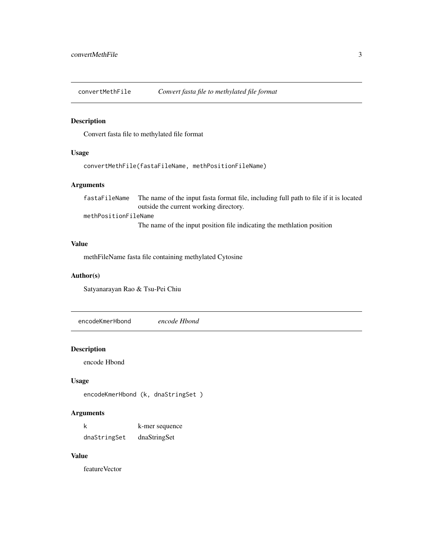<span id="page-2-0"></span>convertMethFile *Convert fasta file to methylated file format*

# Description

Convert fasta file to methylated file format

#### Usage

```
convertMethFile(fastaFileName, methPositionFileName)
```
# Arguments

fastaFileName The name of the input fasta format file, including full path to file if it is located outside the current working directory. methPositionFileName The name of the input position file indicating the methlation position

#### Value

methFileName fasta file containing methylated Cytosine

#### Author(s)

Satyanarayan Rao & Tsu-Pei Chiu

encodeKmerHbond *encode Hbond*

#### Description

encode Hbond

### Usage

encodeKmerHbond (k, dnaStringSet )

#### Arguments

| k            | k-mer sequence |
|--------------|----------------|
| dnaStringSet | dnaStringSet   |

#### Value

featureVector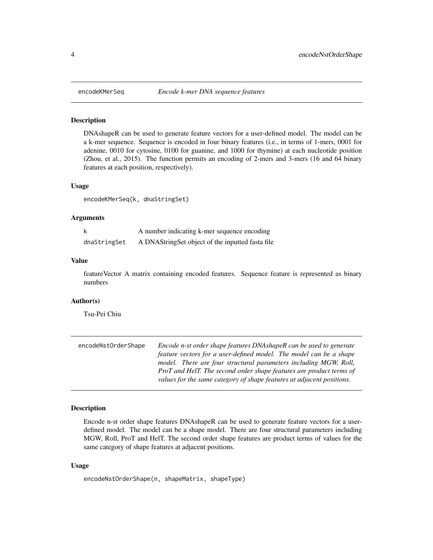<span id="page-3-0"></span>

#### Description

DNAshapeR can be used to generate feature vectors for a user-defined model. The model can be a k-mer sequence. Sequence is encoded in four binary features (i.e., in terms of 1-mers, 0001 for adenine, 0010 for cytosine, 0100 for guanine, and 1000 for thymine) at each nucleotide position (Zhou, et al., 2015). The function permits an encoding of 2-mers and 3-mers (16 and 64 binary features at each position, respectively).

# Usage

encodeKMerSeq(k, dnaStringSet)

## Arguments

| k            | A number indicating k-mer sequence encoding       |
|--------------|---------------------------------------------------|
| dnaStringSet | A DNAString Set object of the inputted fasta file |

#### Value

featureVector A matrix containing encoded features. Sequence feature is represented as binary numbers

#### Author(s)

Tsu-Pei Chiu

| encodeNstOrderShape | Encode n-st order shape features DNAshapeR can be used to generate    |
|---------------------|-----------------------------------------------------------------------|
|                     | feature vectors for a user-defined model. The model can be a shape    |
|                     | model. There are four structural parameters including MGW, Roll,      |
|                     | ProT and HelT. The second order shape features are product terms of   |
|                     | values for the same category of shape features at adjacent positions. |

# Description

Encode n-st order shape features DNAshapeR can be used to generate feature vectors for a userdefined model. The model can be a shape model. There are four structural parameters including MGW, Roll, ProT and HelT. The second order shape features are product terms of values for the same category of shape features at adjacent positions.

#### Usage

```
encodeNstOrderShape(n, shapeMatrix, shapeType)
```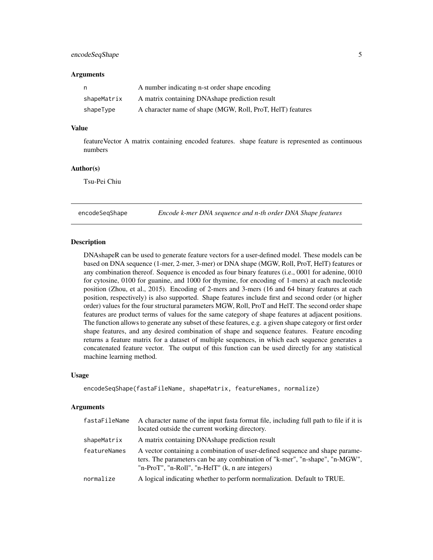# <span id="page-4-0"></span>encodeSeqShape 5

#### **Arguments**

| n,          | A number indicating n-st order shape encoding              |
|-------------|------------------------------------------------------------|
| shapeMatrix | A matrix containing DNAshape prediction result             |
| shapeType   | A character name of shape (MGW, Roll, ProT, HelT) features |

# Value

featureVector A matrix containing encoded features. shape feature is represented as continuous numbers

#### Author(s)

Tsu-Pei Chiu

encodeSeqShape *Encode k-mer DNA sequence and n-th order DNA Shape features*

#### Description

DNAshapeR can be used to generate feature vectors for a user-defined model. These models can be based on DNA sequence (1-mer, 2-mer, 3-mer) or DNA shape (MGW, Roll, ProT, HelT) features or any combination thereof. Sequence is encoded as four binary features (i.e., 0001 for adenine, 0010 for cytosine, 0100 for guanine, and 1000 for thymine, for encoding of 1-mers) at each nucleotide position (Zhou, et al., 2015). Encoding of 2-mers and 3-mers (16 and 64 binary features at each position, respectively) is also supported. Shape features include first and second order (or higher order) values for the four structural parameters MGW, Roll, ProT and HelT. The second order shape features are product terms of values for the same category of shape features at adjacent positions. The function allows to generate any subset of these features, e.g. a given shape category or first order shape features, and any desired combination of shape and sequence features. Feature encoding returns a feature matrix for a dataset of multiple sequences, in which each sequence generates a concatenated feature vector. The output of this function can be used directly for any statistical machine learning method.

#### Usage

```
encodeSeqShape(fastaFileName, shapeMatrix, featureNames, normalize)
```
#### Arguments

| fastaFileName | A character name of the input fasta format file, including full path to file if it is<br>located outside the current working directory.                                                                         |
|---------------|-----------------------------------------------------------------------------------------------------------------------------------------------------------------------------------------------------------------|
| shapeMatrix   | A matrix containing DNA shape prediction result                                                                                                                                                                 |
| featureNames  | A vector containing a combination of user-defined sequence and shape parame-<br>ters. The parameters can be any combination of "k-mer", "n-shape", "n-MGW",<br>"n-ProT", "n-Roll", "n-HelT" (k, n are integers) |
| normalize     | A logical indicating whether to perform normalization. Default to TRUE.                                                                                                                                         |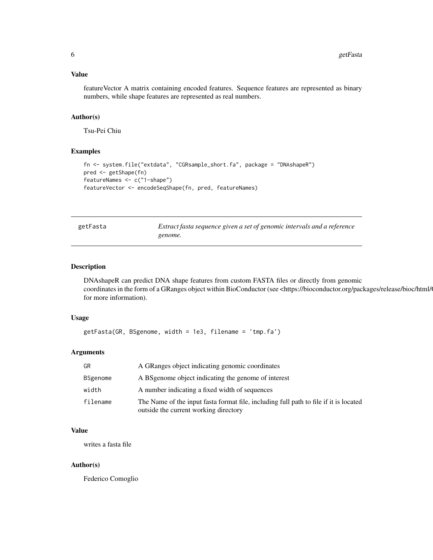#### <span id="page-5-0"></span>Value

featureVector A matrix containing encoded features. Sequence features are represented as binary numbers, while shape features are represented as real numbers.

#### Author(s)

Tsu-Pei Chiu

# Examples

```
fn <- system.file("extdata", "CGRsample_short.fa", package = "DNAshapeR")
pred <- getShape(fn)
featureNames <- c("1-shape")
featureVector <- encodeSeqShape(fn, pred, featureNames)
```
<span id="page-5-1"></span>

| getFasta |
|----------|
|----------|

Extract fasta sequence given a set of genomic intervals and a reference *genome.*

#### Description

DNAshapeR can predict DNA shape features from custom FASTA files or directly from genomic coordinates in the form of a GRanges object within BioConductor (see <https://bioconductor.org/packages/release/bioc/html/ for more information).

#### Usage

```
getFasta(GR, BSgenome, width = 1e3, filename = 'tmp.fa')
```
#### Arguments

| GR       | A GRanges object indicating genomic coordinates                                                                                |
|----------|--------------------------------------------------------------------------------------------------------------------------------|
| BSgenome | A BS genome object indicating the genome of interest                                                                           |
| width    | A number indicating a fixed width of sequences                                                                                 |
| filename | The Name of the input fasta format file, including full path to file if it is located<br>outside the current working directory |

#### Value

writes a fasta file

#### Author(s)

Federico Comoglio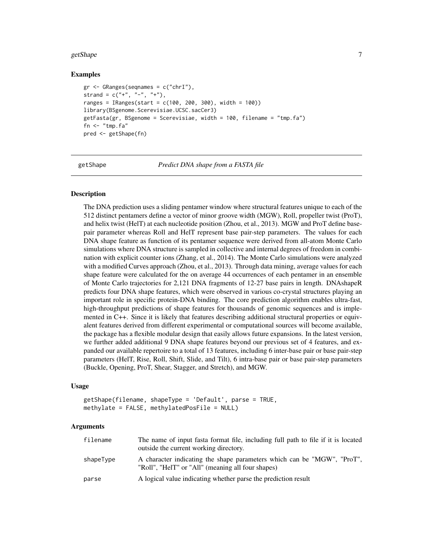#### <span id="page-6-0"></span>getShape 7 and 3 and 3 and 3 and 3 and 3 and 3 and 3 and 3 and 3 and 3 and 3 and 3 and 3 and 3 and 3 and 3 and 3 and 3 and 3 and 3 and 3 and 3 and 3 and 3 and 3 and 3 and 3 and 3 and 3 and 3 and 3 and 3 and 3 and 3 and 3 a

#### Examples

```
gr <- GRanges(seqnames = c("chrI"),
strand = c("+", "-", "+"),
ranges = IRanges(start = c(100, 200, 300), width = 100))
library(BSgenome.Scerevisiae.UCSC.sacCer3)
getFasta(gr, BSgenome = Scerevisiae, width = 100, filename = "tmp.fa")
fn \leq "tmp.fa"
pred <- getShape(fn)
```
getShape *Predict DNA shape from a FASTA file*

#### **Description**

The DNA prediction uses a sliding pentamer window where structural features unique to each of the 512 distinct pentamers define a vector of minor groove width (MGW), Roll, propeller twist (ProT), and helix twist (HelT) at each nucleotide position (Zhou, et al., 2013). MGW and ProT define basepair parameter whereas Roll and HelT represent base pair-step parameters. The values for each DNA shape feature as function of its pentamer sequence were derived from all-atom Monte Carlo simulations where DNA structure is sampled in collective and internal degrees of freedom in combination with explicit counter ions (Zhang, et al., 2014). The Monte Carlo simulations were analyzed with a modified Curves approach (Zhou, et al., 2013). Through data mining, average values for each shape feature were calculated for the on average 44 occurrences of each pentamer in an ensemble of Monte Carlo trajectories for 2,121 DNA fragments of 12-27 base pairs in length. DNAshapeR predicts four DNA shape features, which were observed in various co-crystal structures playing an important role in specific protein-DNA binding. The core prediction algorithm enables ultra-fast, high-throughput predictions of shape features for thousands of genomic sequences and is implemented in C++. Since it is likely that features describing additional structural properties or equivalent features derived from different experimental or computational sources will become available, the package has a flexible modular design that easily allows future expansions. In the latest version, we further added additional 9 DNA shape features beyond our previous set of 4 features, and expanded our available repertoire to a total of 13 features, including 6 inter-base pair or base pair-step parameters (HelT, Rise, Roll, Shift, Slide, and Tilt), 6 intra-base pair or base pair-step parameters (Buckle, Opening, ProT, Shear, Stagger, and Stretch), and MGW.

#### Usage

getShape(filename, shapeType = 'Default', parse = TRUE, methylate = FALSE, methylatedPosFile = NULL)

#### Arguments

| filename  | The name of input fasta format file, including full path to file if it is located<br>outside the current working directory.  |
|-----------|------------------------------------------------------------------------------------------------------------------------------|
| shapeType | A character indicating the shape parameters which can be "MGW", "ProT",<br>"Roll", "HelT" or "All" (meaning all four shapes) |
| parse     | A logical value indicating whether parse the prediction result                                                               |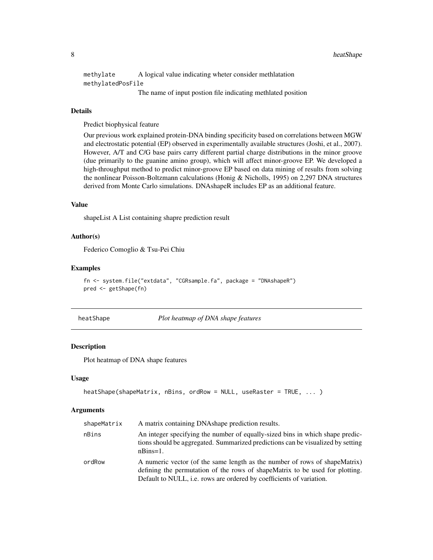<span id="page-7-0"></span>8 heatShape

methylate A logical value indicating wheter consider methlatation methylatedPosFile The name of input postion file indicating methlated position

# Details

Predict biophysical feature

Our previous work explained protein-DNA binding specificity based on correlations between MGW and electrostatic potential (EP) observed in experimentally available structures (Joshi, et al., 2007). However, A/T and C/G base pairs carry different partial charge distributions in the minor groove (due primarily to the guanine amino group), which will affect minor-groove EP. We developed a high-throughput method to predict minor-groove EP based on data mining of results from solving the nonlinear Poisson-Boltzmann calculations (Honig & Nicholls, 1995) on 2,297 DNA structures derived from Monte Carlo simulations. DNAshapeR includes EP as an additional feature.

#### Value

shapeList A List containing shapre prediction result

#### Author(s)

Federico Comoglio & Tsu-Pei Chiu

#### Examples

```
fn <- system.file("extdata", "CGRsample.fa", package = "DNAshapeR")
pred <- getShape(fn)
```
heatShape *Plot heatmap of DNA shape features*

#### **Description**

Plot heatmap of DNA shape features

#### Usage

```
heatShape(shapeMatrix, nBins, ordRow = NULL, useRaster = TRUE, ... )
```
#### Arguments

| shapeMatrix | A matrix containing DNAshape prediction results.                                                                                                                                                                                    |
|-------------|-------------------------------------------------------------------------------------------------------------------------------------------------------------------------------------------------------------------------------------|
| nBins       | An integer specifying the number of equally-sized bins in which shape predic-<br>tions should be aggregated. Summarized predictions can be visualized by setting<br>$nBins=1$ .                                                     |
| ordRow      | A numeric vector (of the same length as the number of rows of shape Matrix)<br>defining the permutation of the rows of shapeMatrix to be used for plotting.<br>Default to NULL, i.e. rows are ordered by coefficients of variation. |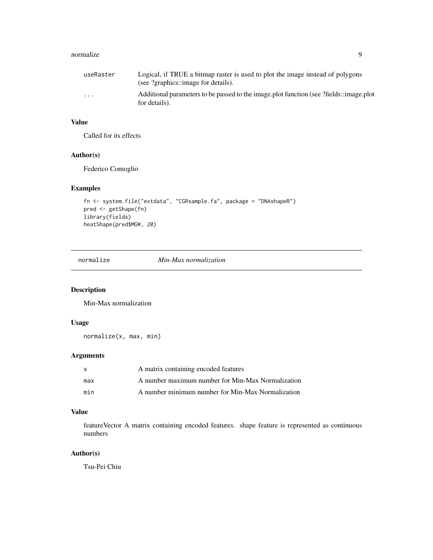#### <span id="page-8-0"></span>normalize 9

| useRaster | Logical, if TRUE a bitmap raster is used to plot the image instead of polygons<br>(see ?graphics::image for details). |
|-----------|-----------------------------------------------------------------------------------------------------------------------|
| $\cdot$   | Additional parameters to be passed to the image plot function (see ?fields::image.plot<br>for details).               |

# Value

Called for its effects

# Author(s)

Federico Comoglio

# Examples

```
fn <- system.file("extdata", "CGRsample.fa", package = "DNAshapeR")
pred <- getShape(fn)
library(fields)
heatShape(pred$MGW, 20)
```
normalize *Min-Max normalization*

#### Description

Min-Max normalization

#### Usage

normalize(x, max, min)

## Arguments

| X   | A matrix containing encoded features              |
|-----|---------------------------------------------------|
| max | A number maximum number for Min-Max Normalization |
| min | A number minimum number for Min-Max Normalization |

#### Value

featureVector A matrix containing encoded features. shape feature is represented as continuous numbers

## Author(s)

Tsu-Pei Chiu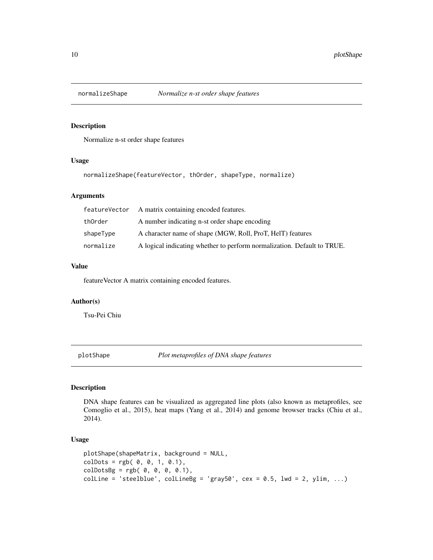<span id="page-9-0"></span>

#### Description

Normalize n-st order shape features

#### Usage

normalizeShape(featureVector, thOrder, shapeType, normalize)

#### Arguments

|           | feature Vector A matrix containing encoded features.                    |
|-----------|-------------------------------------------------------------------------|
| thOrder   | A number indicating n-st order shape encoding                           |
| shapeType | A character name of shape (MGW, Roll, ProT, HelT) features              |
| normalize | A logical indicating whether to perform normalization. Default to TRUE. |

#### Value

featureVector A matrix containing encoded features.

# Author(s)

Tsu-Pei Chiu

<span id="page-9-1"></span>plotShape *Plot metaprofiles of DNA shape features*

#### Description

DNA shape features can be visualized as aggregated line plots (also known as metaprofiles, see Comoglio et al., 2015), heat maps (Yang et al., 2014) and genome browser tracks (Chiu et al., 2014).

# Usage

```
plotShape(shapeMatrix, background = NULL,
colDots = rgb( 0, 0, 1, 0.1),colDotsBg = rgb( 0, 0, 0, 0.1),colLine = 'steelblue', colLineBg = 'gray50', cex = 0.5, lwd = 2, ylim, ...)
```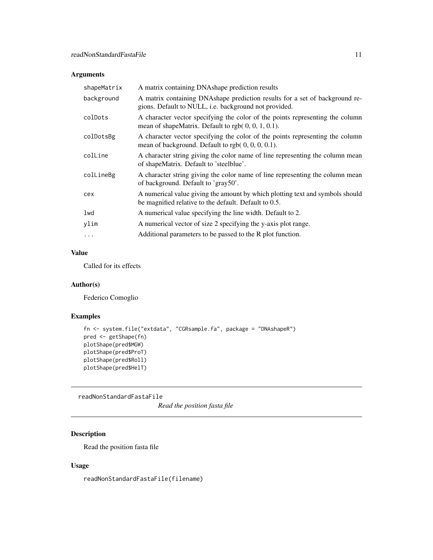# <span id="page-10-0"></span>Arguments

| shapeMatrix | A matrix containing DNAshape prediction results                                                                                             |
|-------------|---------------------------------------------------------------------------------------------------------------------------------------------|
| background  | A matrix containing DNAshape prediction results for a set of background re-<br>gions. Default to NULL, <i>i.e.</i> background not provided. |
| colDots     | A character vector specifying the color of the points representing the column<br>mean of shapeMatrix. Default to rgb $(0, 0, 1, 0.1)$ .     |
| colDotsBg   | A character vector specifying the color of the points representing the column<br>mean of background. Default to rgb $(0, 0, 0, 0.1)$ .      |
| colLine     | A character string giving the color name of line representing the column mean<br>of shapeMatrix. Default to 'steelblue'.                    |
| colLineBg   | A character string giving the color name of line representing the column mean<br>of background. Default to 'gray50'.                        |
| cex         | A numerical value giving the amount by which plotting text and symbols should<br>be magnified relative to the default. Default to 0.5.      |
| lwd         | A numerical value specifying the line width. Default to 2.                                                                                  |
| ylim        | A numerical vector of size 2 specifying the y-axis plot range.                                                                              |
| $\cdots$    | Additional parameters to be passed to the R plot function.                                                                                  |

# Value

Called for its effects

### Author(s)

Federico Comoglio

# Examples

```
fn <- system.file("extdata", "CGRsample.fa", package = "DNAshapeR")
pred <- getShape(fn)
plotShape(pred$MGW)
plotShape(pred$ProT)
plotShape(pred$Roll)
plotShape(pred$HelT)
```
readNonStandardFastaFile

*Read the position fasta file*

# Description

Read the position fasta file

# Usage

readNonStandardFastaFile(filename)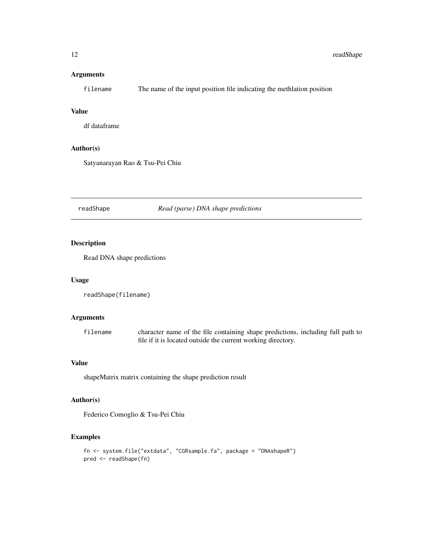# <span id="page-11-0"></span>Arguments

filename The name of the input position file indicating the methlation position

# Value

df dataframe

# Author(s)

Satyanarayan Rao & Tsu-Pei Chiu

readShape *Read (parse) DNA shape predictions*

# Description

Read DNA shape predictions

#### Usage

```
readShape(filename)
```
# Arguments

filename character name of the file containing shape predictions, including full path to file if it is located outside the current working directory.

# Value

shapeMatrix matrix containing the shape prediction result

#### Author(s)

Federico Comoglio & Tsu-Pei Chiu

## Examples

```
fn <- system.file("extdata", "CGRsample.fa", package = "DNAshapeR")
pred <- readShape(fn)
```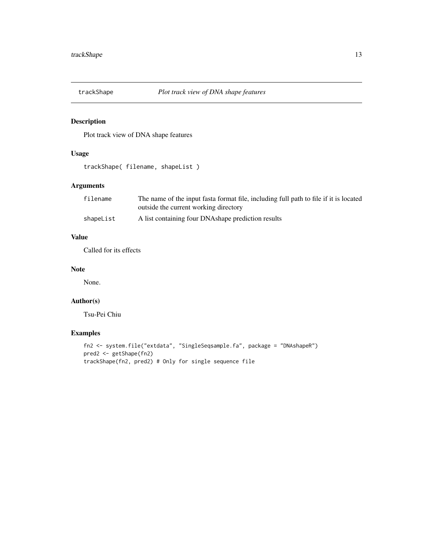<span id="page-12-0"></span>

# Description

Plot track view of DNA shape features

# Usage

trackShape( filename, shapeList )

# Arguments

| filename  | The name of the input fasta format file, including full path to file if it is located |
|-----------|---------------------------------------------------------------------------------------|
|           | outside the current working directory                                                 |
| shapeList | A list containing four DNAshape prediction results                                    |

# Value

Called for its effects

## Note

None.

# Author(s)

Tsu-Pei Chiu

# Examples

```
fn2 <- system.file("extdata", "SingleSeqsample.fa", package = "DNAshapeR")
pred2 <- getShape(fn2)
trackShape(fn2, pred2) # Only for single sequence file
```